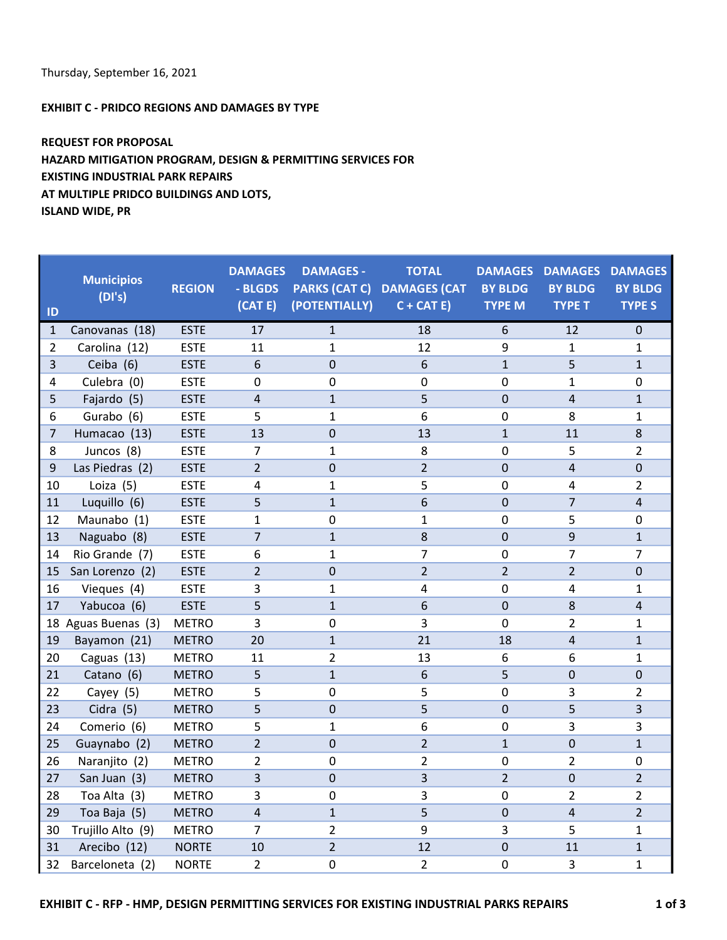## EXHIBIT C - PRIDCO REGIONS AND DAMAGES BY TYPE

## REQUEST FOR PROPOSAL HAZARD MITIGATION PROGRAM, DESIGN & PERMITTING SERVICES FOR EXISTING INDUSTRIAL PARK REPAIRS AT MULTIPLE PRIDCO BUILDINGS AND LOTS, ISLAND WIDE, PR

| ID             | <b>Municipios</b><br>(DI's) | <b>REGION</b> | <b>DAMAGES</b><br>- BLGDS<br>(CAT E) | <b>DAMAGES -</b><br>(POTENTIALLY) | <b>TOTAL</b><br>PARKS (CAT C) DAMAGES (CAT<br>$C + CAT E$ | <b>BY BLDG</b><br><b>TYPE M</b> | <b>DAMAGES DAMAGES</b><br><b>BY BLDG</b><br><b>TYPE T</b> | <b>DAMAGES</b><br><b>BY BLDG</b><br><b>TYPE S</b> |
|----------------|-----------------------------|---------------|--------------------------------------|-----------------------------------|-----------------------------------------------------------|---------------------------------|-----------------------------------------------------------|---------------------------------------------------|
| $\mathbf{1}$   | Canovanas (18)              | <b>ESTE</b>   | 17                                   | $\mathbf{1}$                      | 18                                                        | 6                               | 12                                                        | $\mathbf 0$                                       |
| $\overline{2}$ | Carolina (12)               | <b>ESTE</b>   | 11                                   | $\mathbf{1}$                      | 12                                                        | 9                               | $\mathbf{1}$                                              | $\mathbf{1}$                                      |
| $\overline{3}$ | Ceiba (6)                   | <b>ESTE</b>   | 6                                    | $\mathbf 0$                       | 6                                                         | $\mathbf{1}$                    | 5                                                         | $\mathbf{1}$                                      |
| 4              | Culebra (0)                 | <b>ESTE</b>   | 0                                    | 0                                 | 0                                                         | 0                               | 1                                                         | 0                                                 |
| 5              | Fajardo (5)                 | <b>ESTE</b>   | 4                                    | $\mathbf{1}$                      | 5                                                         | 0                               | $\overline{4}$                                            | $\mathbf{1}$                                      |
| 6              | Gurabo (6)                  | <b>ESTE</b>   | 5                                    | $\mathbf{1}$                      | 6                                                         | 0                               | 8                                                         | $\mathbf{1}$                                      |
| $\overline{7}$ | Humacao (13)                | <b>ESTE</b>   | 13                                   | $\mathbf 0$                       | 13                                                        | $\mathbf{1}$                    | 11                                                        | 8                                                 |
| 8              | Juncos (8)                  | <b>ESTE</b>   | $\overline{7}$                       | 1                                 | 8                                                         | 0                               | 5                                                         | $\overline{2}$                                    |
| 9              | Las Piedras (2)             | <b>ESTE</b>   | $\overline{2}$                       | $\overline{0}$                    | $\overline{2}$                                            | $\overline{0}$                  | $\overline{4}$                                            | $\mathbf 0$                                       |
| 10             | Loiza (5)                   | <b>ESTE</b>   | 4                                    | 1                                 | 5                                                         | $\mathbf 0$                     | 4                                                         | $\overline{2}$                                    |
| 11             | Luquillo (6)                | <b>ESTE</b>   | 5                                    | $\mathbf{1}$                      | 6                                                         | $\mathbf 0$                     | $\overline{7}$                                            | $\overline{4}$                                    |
| 12             | Maunabo (1)                 | <b>ESTE</b>   | $\mathbf{1}$                         | $\mathbf 0$                       | $\mathbf{1}$                                              | 0                               | 5                                                         | $\mathbf 0$                                       |
| 13             | Naguabo (8)                 | <b>ESTE</b>   | $\overline{7}$                       | $\mathbf{1}$                      | 8                                                         | $\mathbf 0$                     | 9                                                         | $\mathbf{1}$                                      |
| 14             | Rio Grande (7)              | <b>ESTE</b>   | 6                                    | 1                                 | $\overline{7}$                                            | 0                               | 7                                                         | 7                                                 |
| 15             | San Lorenzo (2)             | <b>ESTE</b>   | $\overline{2}$                       | 0                                 | $\overline{2}$                                            | $\overline{2}$                  | $\overline{2}$                                            | $\Omega$                                          |
| 16             | Vieques (4)                 | <b>ESTE</b>   | 3                                    | 1                                 | 4                                                         | 0                               | 4                                                         | $\mathbf{1}$                                      |
| 17             | Yabucoa (6)                 | <b>ESTE</b>   | 5                                    | $\mathbf{1}$                      | 6                                                         | $\mathbf 0$                     | $\,8\,$                                                   | 4                                                 |
| 18             | Aguas Buenas (3)            | <b>METRO</b>  | 3                                    | $\mathbf 0$                       | 3                                                         | $\mathbf 0$                     | $\overline{2}$                                            | $\mathbf{1}$                                      |
| 19             | Bayamon (21)                | <b>METRO</b>  | 20                                   | $\mathbf{1}$                      | 21                                                        | 18                              | 4                                                         | $\mathbf{1}$                                      |
| 20             | Caguas (13)                 | <b>METRO</b>  | 11                                   | $\overline{2}$                    | 13                                                        | 6                               | 6                                                         | $\mathbf{1}$                                      |
| 21             | Catano (6)                  | <b>METRO</b>  | 5                                    | $\mathbf{1}$                      | 6                                                         | 5                               | $\pmb{0}$                                                 | $\pmb{0}$                                         |
| 22             | Cayey (5)                   | <b>METRO</b>  | 5                                    | $\pmb{0}$                         | 5                                                         | $\pmb{0}$                       | 3                                                         | $\overline{2}$                                    |
| 23             | Cidra (5)                   | <b>METRO</b>  | 5                                    | 0                                 | 5                                                         | $\mathbf 0$                     | 5                                                         | $\overline{3}$                                    |
| 24             | Comerio (6)                 | <b>METRO</b>  | 5                                    | $\mathbf{1}$                      | 6                                                         | $\mathbf 0$                     | 3                                                         | 3                                                 |
| 25             | Guaynabo (2)                | <b>METRO</b>  | $\overline{2}$                       | 0                                 | $\overline{2}$                                            | $\mathbf{1}$                    | $\mathbf 0$                                               | $\mathbf{1}$                                      |
| 26             | Naranjito (2)               | <b>METRO</b>  | $\overline{2}$                       | 0                                 | $\overline{2}$                                            | 0                               | 2                                                         | 0                                                 |
| 27             | San Juan (3)                | <b>METRO</b>  | 3                                    | 0                                 | 3                                                         | $\overline{2}$                  | $\Omega$                                                  | $\overline{2}$                                    |
| 28             | Toa Alta (3)                | <b>METRO</b>  | 3                                    | 0                                 | 3                                                         | 0                               | $\overline{2}$                                            | $\overline{2}$                                    |
| 29             | Toa Baja (5)                | <b>METRO</b>  | $\overline{4}$                       | $\mathbf{1}$                      | 5                                                         | $\mathbf 0$                     | $\overline{4}$                                            | $\overline{2}$                                    |
| 30             | Trujillo Alto (9)           | <b>METRO</b>  | $\overline{7}$                       | $\overline{2}$                    | 9                                                         | 3                               | 5                                                         | $\mathbf{1}$                                      |
| 31             | Arecibo (12)                | <b>NORTE</b>  | 10                                   | $\overline{2}$                    | 12                                                        | $\mathbf 0$                     | 11                                                        | $\mathbf{1}$                                      |
| 32             | Barceloneta (2)             | <b>NORTE</b>  | $\overline{2}$                       | 0                                 | $\overline{2}$                                            | 0                               | 3                                                         | $\mathbf{1}$                                      |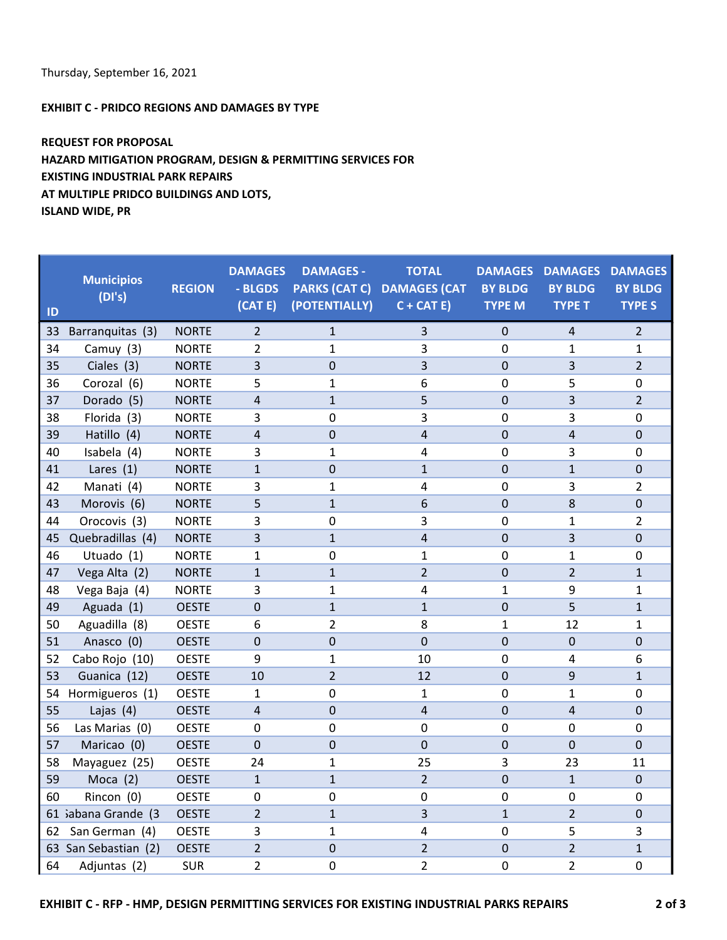EXHIBIT C - PRIDCO REGIONS AND DAMAGES BY TYPE

REQUEST FOR PROPOSAL HAZARD MITIGATION PROGRAM, DESIGN & PERMITTING SERVICES FOR EXISTING INDUSTRIAL PARK REPAIRS AT MULTIPLE PRIDCO BUILDINGS AND LOTS, ISLAND WIDE, PR

| ID | <b>Municipios</b><br>(DI's) | <b>REGION</b> | <b>DAMAGES</b><br>- BLGDS<br>(CAT E) | <b>DAMAGES -</b><br>(POTENTIALLY) | <b>TOTAL</b><br>PARKS (CAT C) DAMAGES (CAT<br>$C + CAT E$ | <b>DAMAGES</b><br><b>BY BLDG</b><br><b>TYPE M</b> | <b>DAMAGES</b><br><b>BY BLDG</b><br><b>TYPE T</b> | <b>DAMAGES</b><br><b>BY BLDG</b><br><b>TYPE S</b> |
|----|-----------------------------|---------------|--------------------------------------|-----------------------------------|-----------------------------------------------------------|---------------------------------------------------|---------------------------------------------------|---------------------------------------------------|
| 33 | Barranquitas (3)            | <b>NORTE</b>  | $\overline{2}$                       | $\mathbf{1}$                      | 3                                                         | $\mathbf 0$                                       | $\overline{4}$                                    | $\overline{2}$                                    |
| 34 | Camuy (3)                   | <b>NORTE</b>  | $\overline{2}$                       | 1                                 | 3                                                         | 0                                                 | 1                                                 | 1                                                 |
| 35 | Ciales (3)                  | <b>NORTE</b>  | 3                                    | 0                                 | 3                                                         | $\Omega$                                          | 3                                                 | $\overline{2}$                                    |
| 36 | Corozal (6)                 | <b>NORTE</b>  | 5                                    | 1                                 | 6                                                         | 0                                                 | 5                                                 | 0                                                 |
| 37 | Dorado (5)                  | <b>NORTE</b>  | $\overline{4}$                       | $\mathbf{1}$                      | 5                                                         | $\mathbf 0$                                       | $\overline{3}$                                    | $\overline{2}$                                    |
| 38 | Florida (3)                 | <b>NORTE</b>  | 3                                    | 0                                 | 3                                                         | 0                                                 | 3                                                 | $\mathbf 0$                                       |
| 39 | Hatillo (4)                 | <b>NORTE</b>  | $\overline{4}$                       | $\boldsymbol{0}$                  | 4                                                         | $\mathbf 0$                                       | 4                                                 | $\mathbf 0$                                       |
| 40 | Isabela (4)                 | <b>NORTE</b>  | 3                                    | $\mathbf{1}$                      | 4                                                         | $\mathbf 0$                                       | 3                                                 | 0                                                 |
| 41 | Lares $(1)$                 | <b>NORTE</b>  | $\mathbf{1}$                         | $\mathbf 0$                       | $\mathbf{1}$                                              | $\mathbf 0$                                       | $\mathbf{1}$                                      | $\mathbf 0$                                       |
| 42 | Manati (4)                  | <b>NORTE</b>  | 3                                    | 1                                 | 4                                                         | $\mathbf 0$                                       | 3                                                 | $\overline{2}$                                    |
| 43 | Morovis (6)                 | <b>NORTE</b>  | 5                                    | $\mathbf{1}$                      | 6                                                         | $\mathbf 0$                                       | 8                                                 | $\pmb{0}$                                         |
| 44 | Orocovis (3)                | <b>NORTE</b>  | 3                                    | $\boldsymbol{0}$                  | 3                                                         | $\mathbf 0$                                       | $\mathbf{1}$                                      | $\overline{2}$                                    |
| 45 | Quebradillas (4)            | <b>NORTE</b>  | 3                                    | $\mathbf{1}$                      | 4                                                         | $\mathbf 0$                                       | 3                                                 | $\mathbf 0$                                       |
| 46 | Utuado (1)                  | <b>NORTE</b>  | 1                                    | $\boldsymbol{0}$                  | 1                                                         | 0                                                 | 1                                                 | 0                                                 |
| 47 | Vega Alta (2)               | <b>NORTE</b>  | $\mathbf{1}$                         | $\mathbf{1}$                      | $\overline{2}$                                            | 0                                                 | $\overline{2}$                                    | $\mathbf{1}$                                      |
| 48 | Vega Baja (4)               | <b>NORTE</b>  | 3                                    | $\mathbf{1}$                      | 4                                                         | $\mathbf{1}$                                      | 9                                                 | $\mathbf{1}$                                      |
| 49 | Aguada (1)                  | <b>OESTE</b>  | $\mathbf 0$                          | $\mathbf{1}$                      | $\mathbf{1}$                                              | $\mathbf 0$                                       | 5                                                 | $\mathbf{1}$                                      |
| 50 | Aguadilla (8)               | <b>OESTE</b>  | 6                                    | $\overline{2}$                    | 8                                                         | $\mathbf{1}$                                      | 12                                                | $\mathbf{1}$                                      |
| 51 | Anasco (0)                  | <b>OESTE</b>  | $\pmb{0}$                            | $\mathbf 0$                       | $\mathbf 0$                                               | $\pmb{0}$                                         | $\mathbf 0$                                       | $\pmb{0}$                                         |
| 52 | Cabo Rojo (10)              | <b>OESTE</b>  | 9                                    | $\mathbf{1}$                      | 10                                                        | 0                                                 | 4                                                 | 6                                                 |
| 53 | Guanica (12)                | <b>OESTE</b>  | 10                                   | $\overline{2}$                    | 12                                                        | $\overline{0}$                                    | 9                                                 | $\mathbf{1}$                                      |
| 54 | Hormigueros (1)             | <b>OESTE</b>  | $\mathbf{1}$                         | $\mathbf 0$                       | $\mathbf{1}$                                              | $\mathbf 0$                                       | $\mathbf{1}$                                      | $\pmb{0}$                                         |
| 55 | Lajas (4)                   | <b>OESTE</b>  | $\overline{4}$                       | $\mathbf 0$                       | $\overline{4}$                                            | $\mathbf 0$                                       | $\overline{4}$                                    | $\pmb{0}$                                         |
| 56 | Las Marias (0)              | <b>OESTE</b>  | $\mathbf 0$                          | 0                                 | $\mathbf 0$                                               | $\mathbf 0$                                       | 0                                                 | 0                                                 |
| 57 | Maricao (0)                 | <b>OESTE</b>  | $\Omega$                             | 0                                 | $\overline{0}$                                            | $\Omega$                                          | $\Omega$                                          | $\Omega$                                          |
| 58 | Mayaguez (25)               | <b>OESTE</b>  | 24                                   | 1                                 | 25                                                        | 3                                                 | 23                                                | 11                                                |
| 59 | Moca $(2)$                  | <b>OESTE</b>  | $\mathbf{1}$                         | $\mathbf{1}$                      | $\overline{2}$                                            | $\mathbf 0$                                       | $\mathbf{1}$                                      | $\mathbf 0$                                       |
| 60 | Rincon (0)                  | <b>OESTE</b>  | $\mathbf 0$                          | $\mathbf 0$                       | 0                                                         | $\mathbf 0$                                       | 0                                                 | $\mathbf 0$                                       |
|    | 61 iabana Grande (3         | <b>OESTE</b>  | $\overline{2}$                       | $\mathbf{1}$                      | 3                                                         | $\mathbf{1}$                                      | $\overline{2}$                                    | $\mathbf 0$                                       |
| 62 | San German (4)              | <b>OESTE</b>  | 3                                    | $\mathbf{1}$                      | 4                                                         | $\mathbf 0$                                       | 5                                                 | 3                                                 |
|    | 63 San Sebastian (2)        | <b>OESTE</b>  | $\overline{2}$                       | $\mathbf 0$                       | $\overline{2}$                                            | $\mathbf 0$                                       | $\overline{2}$                                    | $\mathbf{1}$                                      |
| 64 | Adjuntas (2)                | <b>SUR</b>    | $\overline{2}$                       | 0                                 | $\overline{2}$                                            | $\mathbf 0$                                       | $\overline{2}$                                    | 0                                                 |